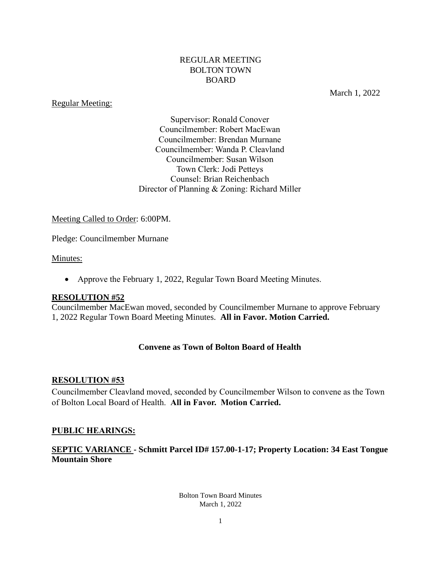### REGULAR MEETING BOLTON TOWN BOARD

#### Regular Meeting:

March 1, 2022

Supervisor: Ronald Conover Councilmember: Robert MacEwan Councilmember: Brendan Murnane Councilmember: Wanda P. Cleavland Councilmember: Susan Wilson Town Clerk: Jodi Petteys Counsel: Brian Reichenbach Director of Planning & Zoning: Richard Miller

### Meeting Called to Order: 6:00PM.

Pledge: Councilmember Murnane

#### Minutes:

• Approve the February 1, 2022, Regular Town Board Meeting Minutes.

#### **RESOLUTION #52**

Councilmember MacEwan moved, seconded by Councilmember Murnane to approve February 1, 2022 Regular Town Board Meeting Minutes. **All in Favor. Motion Carried.**

### **Convene as Town of Bolton Board of Health**

#### **RESOLUTION #53**

Councilmember Cleavland moved, seconded by Councilmember Wilson to convene as the Town of Bolton Local Board of Health. **All in Favor. Motion Carried.**

#### **PUBLIC HEARINGS:**

### **SEPTIC VARIANCE - Schmitt Parcel ID# 157.00-1-17; Property Location: 34 East Tongue Mountain Shore**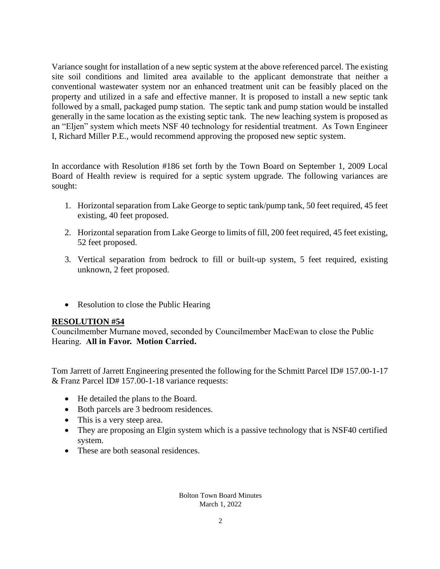Variance sought for installation of a new septic system at the above referenced parcel. The existing site soil conditions and limited area available to the applicant demonstrate that neither a conventional wastewater system nor an enhanced treatment unit can be feasibly placed on the property and utilized in a safe and effective manner. It is proposed to install a new septic tank followed by a small, packaged pump station. The septic tank and pump station would be installed generally in the same location as the existing septic tank. The new leaching system is proposed as an "Eljen" system which meets NSF 40 technology for residential treatment. As Town Engineer I, Richard Miller P.E., would recommend approving the proposed new septic system.

In accordance with Resolution #186 set forth by the Town Board on September 1, 2009 Local Board of Health review is required for a septic system upgrade. The following variances are sought:

- 1. Horizontal separation from Lake George to septic tank/pump tank, 50 feet required, 45 feet existing, 40 feet proposed.
- 2. Horizontal separation from Lake George to limits of fill, 200 feet required, 45 feet existing, 52 feet proposed.
- 3. Vertical separation from bedrock to fill or built-up system, 5 feet required, existing unknown, 2 feet proposed.
- Resolution to close the Public Hearing

# **RESOLUTION #54**

Councilmember Murnane moved, seconded by Councilmember MacEwan to close the Public Hearing. **All in Favor. Motion Carried.**

Tom Jarrett of Jarrett Engineering presented the following for the Schmitt Parcel ID# 157.00-1-17 & Franz Parcel ID# 157.00-1-18 variance requests:

- He detailed the plans to the Board.
- Both parcels are 3 bedroom residences.
- This is a very steep area.
- They are proposing an Elgin system which is a passive technology that is NSF40 certified system.
- These are both seasonal residences.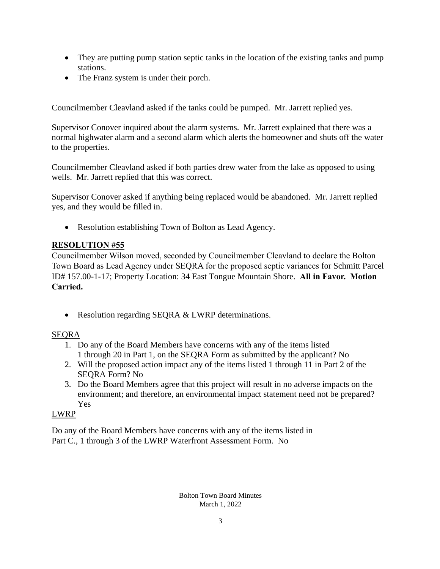- They are putting pump station septic tanks in the location of the existing tanks and pump stations.
- The Franz system is under their porch.

Councilmember Cleavland asked if the tanks could be pumped. Mr. Jarrett replied yes.

Supervisor Conover inquired about the alarm systems. Mr. Jarrett explained that there was a normal highwater alarm and a second alarm which alerts the homeowner and shuts off the water to the properties.

Councilmember Cleavland asked if both parties drew water from the lake as opposed to using wells. Mr. Jarrett replied that this was correct.

Supervisor Conover asked if anything being replaced would be abandoned. Mr. Jarrett replied yes, and they would be filled in.

• Resolution establishing Town of Bolton as Lead Agency.

# **RESOLUTION #55**

Councilmember Wilson moved, seconded by Councilmember Cleavland to declare the Bolton Town Board as Lead Agency under SEQRA for the proposed septic variances for Schmitt Parcel ID# 157.00-1-17; Property Location: 34 East Tongue Mountain Shore. **All in Favor. Motion Carried.**

• Resolution regarding SEQRA & LWRP determinations.

# SEQRA

- 1. Do any of the Board Members have concerns with any of the items listed 1 through 20 in Part 1, on the SEQRA Form as submitted by the applicant? No
- 2. Will the proposed action impact any of the items listed 1 through 11 in Part 2 of the SEQRA Form? No
- 3. Do the Board Members agree that this project will result in no adverse impacts on the environment; and therefore, an environmental impact statement need not be prepared? Yes

# LWRP

Do any of the Board Members have concerns with any of the items listed in Part C., 1 through 3 of the LWRP Waterfront Assessment Form. No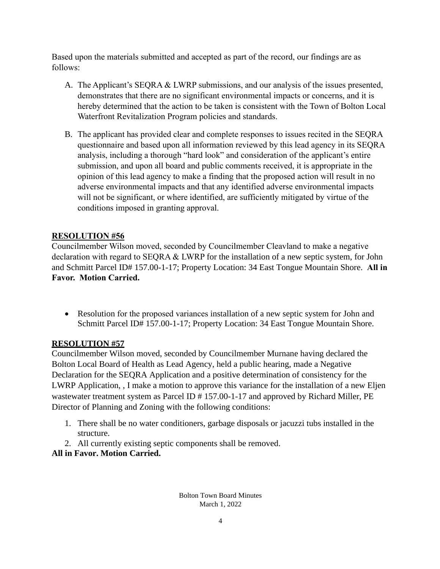Based upon the materials submitted and accepted as part of the record, our findings are as follows:

- A. The Applicant's SEQRA & LWRP submissions, and our analysis of the issues presented, demonstrates that there are no significant environmental impacts or concerns, and it is hereby determined that the action to be taken is consistent with the Town of Bolton Local Waterfront Revitalization Program policies and standards.
- B. The applicant has provided clear and complete responses to issues recited in the SEQRA questionnaire and based upon all information reviewed by this lead agency in its SEQRA analysis, including a thorough "hard look" and consideration of the applicant's entire submission, and upon all board and public comments received, it is appropriate in the opinion of this lead agency to make a finding that the proposed action will result in no adverse environmental impacts and that any identified adverse environmental impacts will not be significant, or where identified, are sufficiently mitigated by virtue of the conditions imposed in granting approval.

# **RESOLUTION #56**

Councilmember Wilson moved, seconded by Councilmember Cleavland to make a negative declaration with regard to SEQRA & LWRP for the installation of a new septic system, for John and Schmitt Parcel ID# 157.00-1-17; Property Location: 34 East Tongue Mountain Shore. **All in Favor. Motion Carried.**

• Resolution for the proposed variances installation of a new septic system for John and Schmitt Parcel ID# 157.00-1-17; Property Location: 34 East Tongue Mountain Shore.

# **RESOLUTION #57**

Councilmember Wilson moved, seconded by Councilmember Murnane having declared the Bolton Local Board of Health as Lead Agency, held a public hearing, made a Negative Declaration for the SEQRA Application and a positive determination of consistency for the LWRP Application, , I make a motion to approve this variance for the installation of a new Eljen wastewater treatment system as Parcel ID # 157.00-1-17 and approved by Richard Miller, PE Director of Planning and Zoning with the following conditions:

- 1. There shall be no water conditioners, garbage disposals or jacuzzi tubs installed in the structure.
- 2. All currently existing septic components shall be removed.

**All in Favor. Motion Carried.**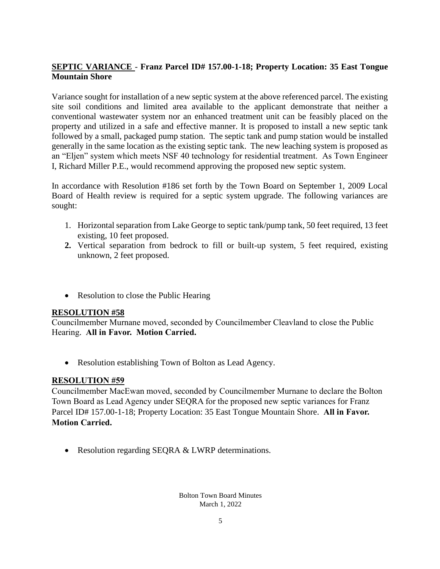# **SEPTIC VARIANCE** - **Franz Parcel ID# 157.00-1-18; Property Location: 35 East Tongue Mountain Shore**

Variance sought for installation of a new septic system at the above referenced parcel. The existing site soil conditions and limited area available to the applicant demonstrate that neither a conventional wastewater system nor an enhanced treatment unit can be feasibly placed on the property and utilized in a safe and effective manner. It is proposed to install a new septic tank followed by a small, packaged pump station. The septic tank and pump station would be installed generally in the same location as the existing septic tank. The new leaching system is proposed as an "Eljen" system which meets NSF 40 technology for residential treatment. As Town Engineer I, Richard Miller P.E., would recommend approving the proposed new septic system.

In accordance with Resolution #186 set forth by the Town Board on September 1, 2009 Local Board of Health review is required for a septic system upgrade. The following variances are sought:

- 1. Horizontal separation from Lake George to septic tank/pump tank, 50 feet required, 13 feet existing, 10 feet proposed.
- **2.** Vertical separation from bedrock to fill or built-up system, 5 feet required, existing unknown, 2 feet proposed.
- Resolution to close the Public Hearing

# **RESOLUTION #58**

Councilmember Murnane moved, seconded by Councilmember Cleavland to close the Public Hearing. **All in Favor. Motion Carried.**

• Resolution establishing Town of Bolton as Lead Agency.

# **RESOLUTION #59**

Councilmember MacEwan moved, seconded by Councilmember Murnane to declare the Bolton Town Board as Lead Agency under SEQRA for the proposed new septic variances for Franz Parcel ID# 157.00-1-18; Property Location: 35 East Tongue Mountain Shore. **All in Favor. Motion Carried.**

• Resolution regarding SEQRA & LWRP determinations.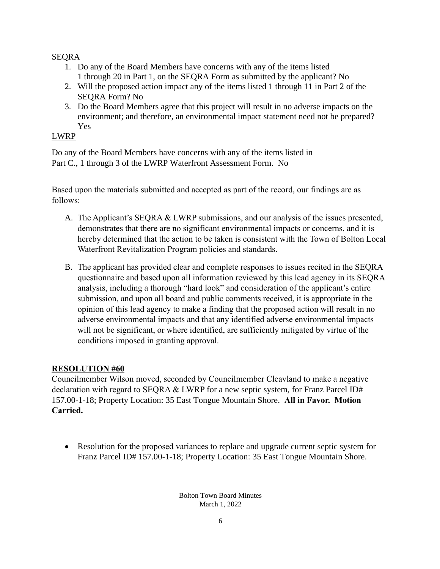# SEQRA

- 1. Do any of the Board Members have concerns with any of the items listed 1 through 20 in Part 1, on the SEQRA Form as submitted by the applicant? No
- 2. Will the proposed action impact any of the items listed 1 through 11 in Part 2 of the SEQRA Form? No
- 3. Do the Board Members agree that this project will result in no adverse impacts on the environment; and therefore, an environmental impact statement need not be prepared? Yes

# LWRP

Do any of the Board Members have concerns with any of the items listed in Part C., 1 through 3 of the LWRP Waterfront Assessment Form. No

Based upon the materials submitted and accepted as part of the record, our findings are as follows:

- A. The Applicant's SEQRA & LWRP submissions, and our analysis of the issues presented, demonstrates that there are no significant environmental impacts or concerns, and it is hereby determined that the action to be taken is consistent with the Town of Bolton Local Waterfront Revitalization Program policies and standards.
- B. The applicant has provided clear and complete responses to issues recited in the SEQRA questionnaire and based upon all information reviewed by this lead agency in its SEQRA analysis, including a thorough "hard look" and consideration of the applicant's entire submission, and upon all board and public comments received, it is appropriate in the opinion of this lead agency to make a finding that the proposed action will result in no adverse environmental impacts and that any identified adverse environmental impacts will not be significant, or where identified, are sufficiently mitigated by virtue of the conditions imposed in granting approval.

# **RESOLUTION #60**

Councilmember Wilson moved, seconded by Councilmember Cleavland to make a negative declaration with regard to SEQRA & LWRP for a new septic system, for Franz Parcel ID# 157.00-1-18; Property Location: 35 East Tongue Mountain Shore. **All in Favor. Motion Carried.**

• Resolution for the proposed variances to replace and upgrade current septic system for Franz Parcel ID# 157.00-1-18; Property Location: 35 East Tongue Mountain Shore.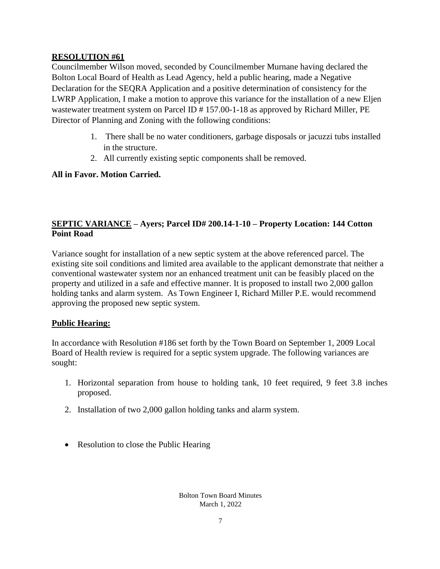Councilmember Wilson moved, seconded by Councilmember Murnane having declared the Bolton Local Board of Health as Lead Agency, held a public hearing, made a Negative Declaration for the SEQRA Application and a positive determination of consistency for the LWRP Application, I make a motion to approve this variance for the installation of a new Eljen wastewater treatment system on Parcel ID # 157.00-1-18 as approved by Richard Miller, PE Director of Planning and Zoning with the following conditions:

- 1. There shall be no water conditioners, garbage disposals or jacuzzi tubs installed in the structure.
- 2. All currently existing septic components shall be removed.

## **All in Favor. Motion Carried.**

# **SEPTIC VARIANCE – Ayers; Parcel ID# 200.14-1-10 – Property Location: 144 Cotton Point Road**

Variance sought for installation of a new septic system at the above referenced parcel. The existing site soil conditions and limited area available to the applicant demonstrate that neither a conventional wastewater system nor an enhanced treatment unit can be feasibly placed on the property and utilized in a safe and effective manner. It is proposed to install two 2,000 gallon holding tanks and alarm system. As Town Engineer I, Richard Miller P.E. would recommend approving the proposed new septic system.

# **Public Hearing:**

In accordance with Resolution #186 set forth by the Town Board on September 1, 2009 Local Board of Health review is required for a septic system upgrade. The following variances are sought:

- 1. Horizontal separation from house to holding tank, 10 feet required, 9 feet 3.8 inches proposed.
- 2. Installation of two 2,000 gallon holding tanks and alarm system.
- Resolution to close the Public Hearing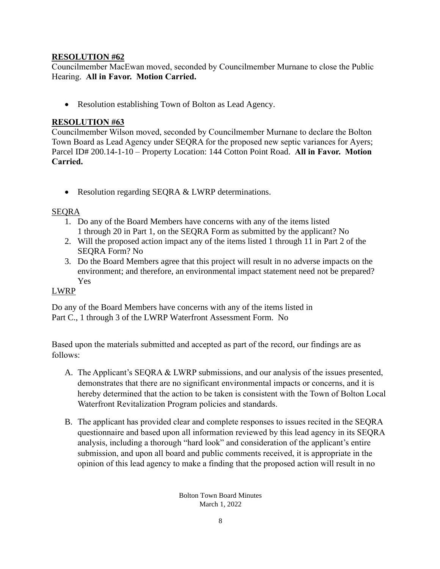Councilmember MacEwan moved, seconded by Councilmember Murnane to close the Public Hearing. **All in Favor. Motion Carried.**

• Resolution establishing Town of Bolton as Lead Agency.

# **RESOLUTION #63**

Councilmember Wilson moved, seconded by Councilmember Murnane to declare the Bolton Town Board as Lead Agency under SEQRA for the proposed new septic variances for Ayers; Parcel ID# 200.14-1-10 – Property Location: 144 Cotton Point Road. **All in Favor. Motion Carried.**

• Resolution regarding SEQRA & LWRP determinations.

# SEQRA

- 1. Do any of the Board Members have concerns with any of the items listed 1 through 20 in Part 1, on the SEQRA Form as submitted by the applicant? No
- 2. Will the proposed action impact any of the items listed 1 through 11 in Part 2 of the SEQRA Form? No
- 3. Do the Board Members agree that this project will result in no adverse impacts on the environment; and therefore, an environmental impact statement need not be prepared? Yes

# LWRP

Do any of the Board Members have concerns with any of the items listed in Part C., 1 through 3 of the LWRP Waterfront Assessment Form. No

Based upon the materials submitted and accepted as part of the record, our findings are as follows:

- A. The Applicant's SEQRA & LWRP submissions, and our analysis of the issues presented, demonstrates that there are no significant environmental impacts or concerns, and it is hereby determined that the action to be taken is consistent with the Town of Bolton Local Waterfront Revitalization Program policies and standards.
- B. The applicant has provided clear and complete responses to issues recited in the SEQRA questionnaire and based upon all information reviewed by this lead agency in its SEQRA analysis, including a thorough "hard look" and consideration of the applicant's entire submission, and upon all board and public comments received, it is appropriate in the opinion of this lead agency to make a finding that the proposed action will result in no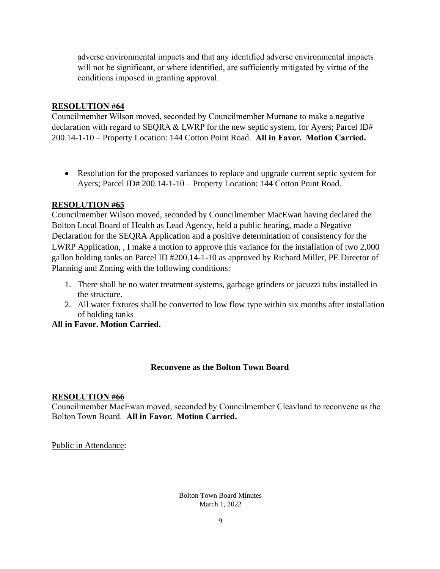adverse environmental impacts and that any identified adverse environmental impacts will not be significant, or where identified, are sufficiently mitigated by virtue of the conditions imposed in granting approval.

### **RESOLUTION #64**

Councilmember Wilson moved, seconded by Councilmember Murnane to make a negative declaration with regard to SEQRA & LWRP for the new septic system, for Ayers; Parcel ID# 200.14-1-10 – Property Location: 144 Cotton Point Road. **All in Favor. Motion Carried.**

• Resolution for the proposed variances to replace and upgrade current septic system for Ayers; Parcel ID# 200.14-1-10 – Property Location: 144 Cotton Point Road.

## **RESOLUTION #65**

Councilmember Wilson moved, seconded by Councilmember MacEwan having declared the Bolton Local Board of Health as Lead Agency, held a public hearing, made a Negative Declaration for the SEQRA Application and a positive determination of consistency for the LWRP Application, , I make a motion to approve this variance for the installation of two 2,000 gallon holding tanks on Parcel ID #200.14-1-10 as approved by Richard Miller, PE Director of Planning and Zoning with the following conditions:

- 1. There shall be no water treatment systems, garbage grinders or jacuzzi tubs installed in the structure.
- 2. All water fixtures shall be converted to low flow type within six months after installation of holding tanks

### **All in Favor. Motion Carried.**

### **Reconvene as the Bolton Town Board**

### **RESOLUTION #66**

Councilmember MacEwan moved, seconded by Councilmember Cleavland to reconvene as the Bolton Town Board. **All in Favor. Motion Carried.**

Public in Attendance: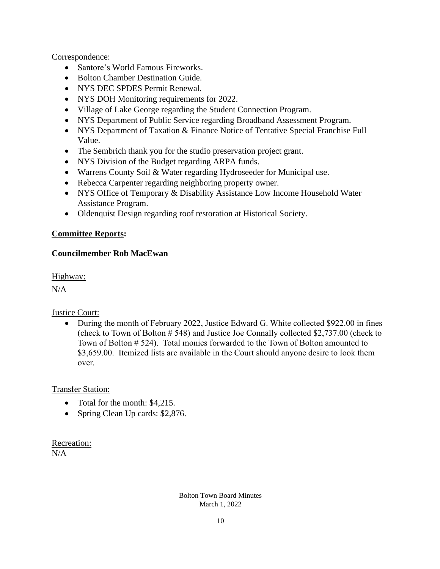## Correspondence:

- Santore's World Famous Fireworks.
- Bolton Chamber Destination Guide.
- NYS DEC SPDES Permit Renewal.
- NYS DOH Monitoring requirements for 2022.
- Village of Lake George regarding the Student Connection Program.
- NYS Department of Public Service regarding Broadband Assessment Program.
- NYS Department of Taxation & Finance Notice of Tentative Special Franchise Full Value.
- The Sembrich thank you for the studio preservation project grant.
- NYS Division of the Budget regarding ARPA funds.
- Warrens County Soil & Water regarding Hydroseeder for Municipal use.
- Rebecca Carpenter regarding neighboring property owner.
- NYS Office of Temporary & Disability Assistance Low Income Household Water Assistance Program.
- Oldenquist Design regarding roof restoration at Historical Society.

### **Committee Reports:**

## **Councilmember Rob MacEwan**

Highway:

 $N/A$ 

### Justice Court:

• During the month of February 2022, Justice Edward G. White collected \$922.00 in fines (check to Town of Bolton # 548) and Justice Joe Connally collected \$2,737.00 (check to Town of Bolton # 524). Total monies forwarded to the Town of Bolton amounted to \$3,659.00. Itemized lists are available in the Court should anyone desire to look them over.

Transfer Station:

- Total for the month: \$4,215.
- Spring Clean Up cards: \$2,876.

Recreation:  $N/A$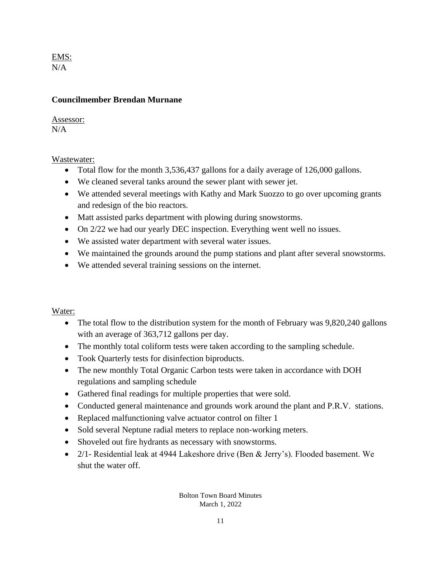EMS: N/A

## **Councilmember Brendan Murnane**

Assessor:  $N/A$ 

Wastewater:

- Total flow for the month 3,536,437 gallons for a daily average of 126,000 gallons.
- We cleaned several tanks around the sewer plant with sewer jet.
- We attended several meetings with Kathy and Mark Suozzo to go over upcoming grants and redesign of the bio reactors.
- Matt assisted parks department with plowing during snowstorms.
- On 2/22 we had our yearly DEC inspection. Everything went well no issues.
- We assisted water department with several water issues.
- We maintained the grounds around the pump stations and plant after several snowstorms.
- We attended several training sessions on the internet.

### Water:

- The total flow to the distribution system for the month of February was 9,820,240 gallons with an average of 363,712 gallons per day.
- The monthly total coliform tests were taken according to the sampling schedule.
- Took Quarterly tests for disinfection biproducts.
- The new monthly Total Organic Carbon tests were taken in accordance with DOH regulations and sampling schedule
- Gathered final readings for multiple properties that were sold.
- Conducted general maintenance and grounds work around the plant and P.R.V. stations.
- Replaced malfunctioning valve actuator control on filter 1
- Sold several Neptune radial meters to replace non-working meters.
- Shoveled out fire hydrants as necessary with snowstorms.
- 2/1- Residential leak at 4944 Lakeshore drive (Ben & Jerry's). Flooded basement. We shut the water off.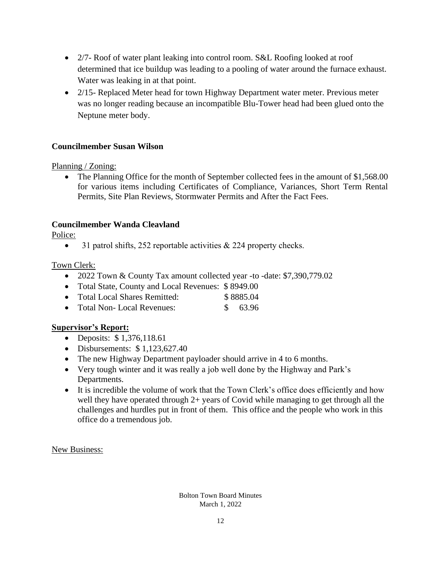- 2/7- Roof of water plant leaking into control room. S&L Roofing looked at roof determined that ice buildup was leading to a pooling of water around the furnace exhaust. Water was leaking in at that point.
- 2/15- Replaced Meter head for town Highway Department water meter. Previous meter was no longer reading because an incompatible Blu-Tower head had been glued onto the Neptune meter body.

## **Councilmember Susan Wilson**

### Planning / Zoning:

• The Planning Office for the month of September collected fees in the amount of \$1,568.00 for various items including Certificates of Compliance, Variances, Short Term Rental Permits, Site Plan Reviews, Stormwater Permits and After the Fact Fees.

## **Councilmember Wanda Cleavland**

Police:

• 31 patrol shifts, 252 reportable activities  $\&$  224 property checks.

Town Clerk:

- 2022 Town & County Tax amount collected year -to -date: \$7,390,779.02
- Total State, County and Local Revenues: \$8949.00
- Total Local Shares Remitted: \$ 8885.04
- Total Non-Local Revenues: \$ 63.96

### **Supervisor's Report:**

- Deposits: \$1,376,118.61
- Disbursements:  $$1,123,627,40$
- The new Highway Department payloader should arrive in 4 to 6 months.
- Very tough winter and it was really a job well done by the Highway and Park's Departments.
- It is incredible the volume of work that the Town Clerk's office does efficiently and how well they have operated through 2+ years of Covid while managing to get through all the challenges and hurdles put in front of them. This office and the people who work in this office do a tremendous job.

New Business: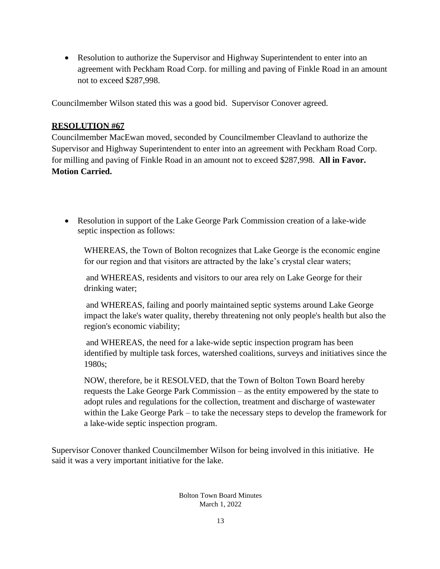• Resolution to authorize the Supervisor and Highway Superintendent to enter into an agreement with Peckham Road Corp. for milling and paving of Finkle Road in an amount not to exceed \$287,998.

Councilmember Wilson stated this was a good bid. Supervisor Conover agreed.

## **RESOLUTION #67**

Councilmember MacEwan moved, seconded by Councilmember Cleavland to authorize the Supervisor and Highway Superintendent to enter into an agreement with Peckham Road Corp. for milling and paving of Finkle Road in an amount not to exceed \$287,998. **All in Favor. Motion Carried.**

• Resolution in support of the Lake George Park Commission creation of a lake-wide septic inspection as follows:

WHEREAS, the Town of Bolton recognizes that Lake George is the economic engine for our region and that visitors are attracted by the lake's crystal clear waters;

and WHEREAS, residents and visitors to our area rely on Lake George for their drinking water;

and WHEREAS, failing and poorly maintained septic systems around Lake George impact the lake's water quality, thereby threatening not only people's health but also the region's economic viability;

and WHEREAS, the need for a lake-wide septic inspection program has been identified by multiple task forces, watershed coalitions, surveys and initiatives since the 1980s;

NOW, therefore, be it RESOLVED, that the Town of Bolton Town Board hereby requests the Lake George Park Commission – as the entity empowered by the state to adopt rules and regulations for the collection, treatment and discharge of wastewater within the Lake George Park – to take the necessary steps to develop the framework for a lake-wide septic inspection program.

Supervisor Conover thanked Councilmember Wilson for being involved in this initiative. He said it was a very important initiative for the lake.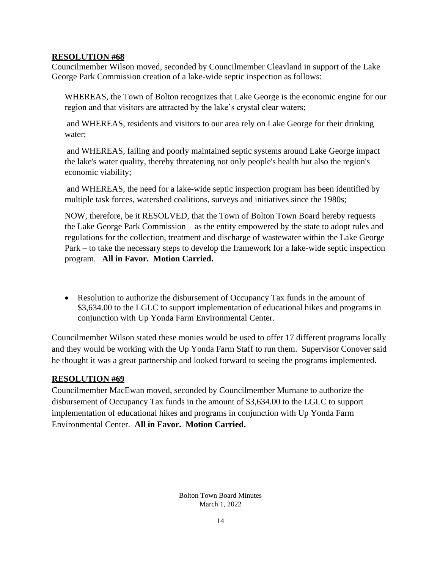Councilmember Wilson moved, seconded by Councilmember Cleavland in support of the Lake George Park Commission creation of a lake-wide septic inspection as follows:

WHEREAS, the Town of Bolton recognizes that Lake George is the economic engine for our region and that visitors are attracted by the lake's crystal clear waters;

and WHEREAS, residents and visitors to our area rely on Lake George for their drinking water;

and WHEREAS, failing and poorly maintained septic systems around Lake George impact the lake's water quality, thereby threatening not only people's health but also the region's economic viability;

and WHEREAS, the need for a lake-wide septic inspection program has been identified by multiple task forces, watershed coalitions, surveys and initiatives since the 1980s;

NOW, therefore, be it RESOLVED, that the Town of Bolton Town Board hereby requests the Lake George Park Commission – as the entity empowered by the state to adopt rules and regulations for the collection, treatment and discharge of wastewater within the Lake George Park – to take the necessary steps to develop the framework for a lake-wide septic inspection program. **All in Favor. Motion Carried.**

• Resolution to authorize the disbursement of Occupancy Tax funds in the amount of \$3,634.00 to the LGLC to support implementation of educational hikes and programs in conjunction with Up Yonda Farm Environmental Center.

Councilmember Wilson stated these monies would be used to offer 17 different programs locally and they would be working with the Up Yonda Farm Staff to run them. Supervisor Conover said he thought it was a great partnership and looked forward to seeing the programs implemented.

# **RESOLUTION #69**

Councilmember MacEwan moved, seconded by Councilmember Murnane to authorize the disbursement of Occupancy Tax funds in the amount of \$3,634.00 to the LGLC to support implementation of educational hikes and programs in conjunction with Up Yonda Farm Environmental Center. **All in Favor. Motion Carried.**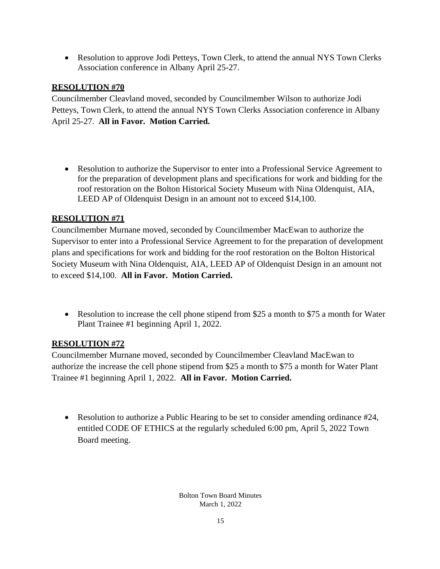• Resolution to approve Jodi Petteys, Town Clerk, to attend the annual NYS Town Clerks Association conference in Albany April 25-27.

# **RESOLUTION #70**

Councilmember Cleavland moved, seconded by Councilmember Wilson to authorize Jodi Petteys, Town Clerk, to attend the annual NYS Town Clerks Association conference in Albany April 25-27. **All in Favor. Motion Carried.**

• Resolution to authorize the Supervisor to enter into a Professional Service Agreement to for the preparation of development plans and specifications for work and bidding for the roof restoration on the Bolton Historical Society Museum with Nina Oldenquist, AIA, LEED AP of Oldenquist Design in an amount not to exceed \$14,100.

# **RESOLUTION #71**

Councilmember Murnane moved, seconded by Councilmember MacEwan to authorize the Supervisor to enter into a Professional Service Agreement to for the preparation of development plans and specifications for work and bidding for the roof restoration on the Bolton Historical Society Museum with Nina Oldenquist, AIA, LEED AP of Oldenquist Design in an amount not to exceed \$14,100. **All in Favor. Motion Carried.**

• Resolution to increase the cell phone stipend from \$25 a month to \$75 a month for Water Plant Trainee #1 beginning April 1, 2022.

# **RESOLUTION #72**

Councilmember Murnane moved, seconded by Councilmember Cleavland MacEwan to authorize the increase the cell phone stipend from \$25 a month to \$75 a month for Water Plant Trainee #1 beginning April 1, 2022. **All in Favor. Motion Carried.**

• Resolution to authorize a Public Hearing to be set to consider amending ordinance #24, entitled CODE OF ETHICS at the regularly scheduled 6:00 pm, April 5, 2022 Town Board meeting.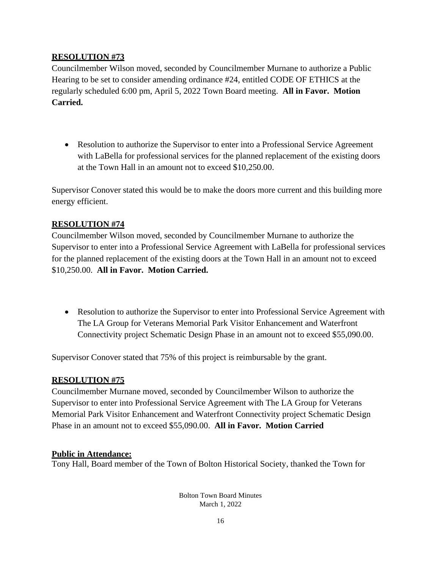Councilmember Wilson moved, seconded by Councilmember Murnane to authorize a Public Hearing to be set to consider amending ordinance #24, entitled CODE OF ETHICS at the regularly scheduled 6:00 pm, April 5, 2022 Town Board meeting. **All in Favor. Motion Carried.**

• Resolution to authorize the Supervisor to enter into a Professional Service Agreement with LaBella for professional services for the planned replacement of the existing doors at the Town Hall in an amount not to exceed \$10,250.00.

Supervisor Conover stated this would be to make the doors more current and this building more energy efficient.

# **RESOLUTION #74**

Councilmember Wilson moved, seconded by Councilmember Murnane to authorize the Supervisor to enter into a Professional Service Agreement with LaBella for professional services for the planned replacement of the existing doors at the Town Hall in an amount not to exceed \$10,250.00. **All in Favor. Motion Carried.**

• Resolution to authorize the Supervisor to enter into Professional Service Agreement with The LA Group for Veterans Memorial Park Visitor Enhancement and Waterfront Connectivity project Schematic Design Phase in an amount not to exceed \$55,090.00.

Supervisor Conover stated that 75% of this project is reimbursable by the grant.

# **RESOLUTION #75**

Councilmember Murnane moved, seconded by Councilmember Wilson to authorize the Supervisor to enter into Professional Service Agreement with The LA Group for Veterans Memorial Park Visitor Enhancement and Waterfront Connectivity project Schematic Design Phase in an amount not to exceed \$55,090.00. **All in Favor. Motion Carried**

# **Public in Attendance:**

Tony Hall, Board member of the Town of Bolton Historical Society, thanked the Town for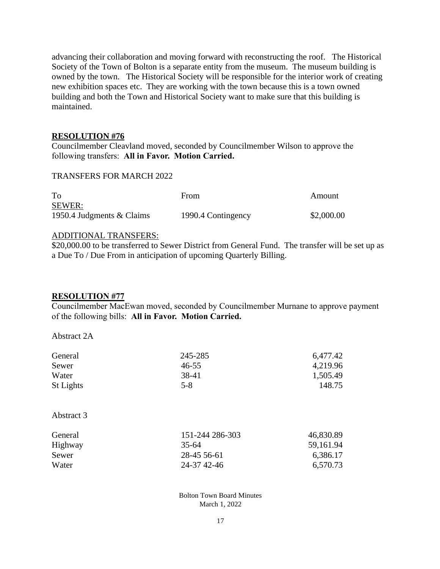advancing their collaboration and moving forward with reconstructing the roof. The Historical Society of the Town of Bolton is a separate entity from the museum. The museum building is owned by the town. The Historical Society will be responsible for the interior work of creating new exhibition spaces etc. They are working with the town because this is a town owned building and both the Town and Historical Society want to make sure that this building is maintained.

#### **RESOLUTION #76**

Councilmember Cleavland moved, seconded by Councilmember Wilson to approve the following transfers: **All in Favor. Motion Carried.**

#### TRANSFERS FOR MARCH 2022

| To                        | From               | Amount     |
|---------------------------|--------------------|------------|
| <b>SEWER:</b>             |                    |            |
| 1950.4 Judgments & Claims | 1990.4 Contingency | \$2,000.00 |

#### ADDITIONAL TRANSFERS:

\$20,000.00 to be transferred to Sewer District from General Fund. The transfer will be set up as a Due To / Due From in anticipation of upcoming Quarterly Billing.

#### **RESOLUTION #77**

Councilmember MacEwan moved, seconded by Councilmember Murnane to approve payment of the following bills: **All in Favor. Motion Carried.**

Abstract 2A

| General    | 245-285         | 6,477.42  |
|------------|-----------------|-----------|
| Sewer      | $46 - 55$       | 4,219.96  |
| Water      | 38-41           | 1,505.49  |
| St Lights  | $5 - 8$         | 148.75    |
|            |                 |           |
| Abstract 3 |                 |           |
| General    | 151-244 286-303 | 46,830.89 |
| Highway    | $35 - 64$       | 59,161.94 |
| Sewer      | 28-45 56-61     | 6,386.17  |
| Water      | 24-37 42-46     | 6,570.73  |
|            |                 |           |